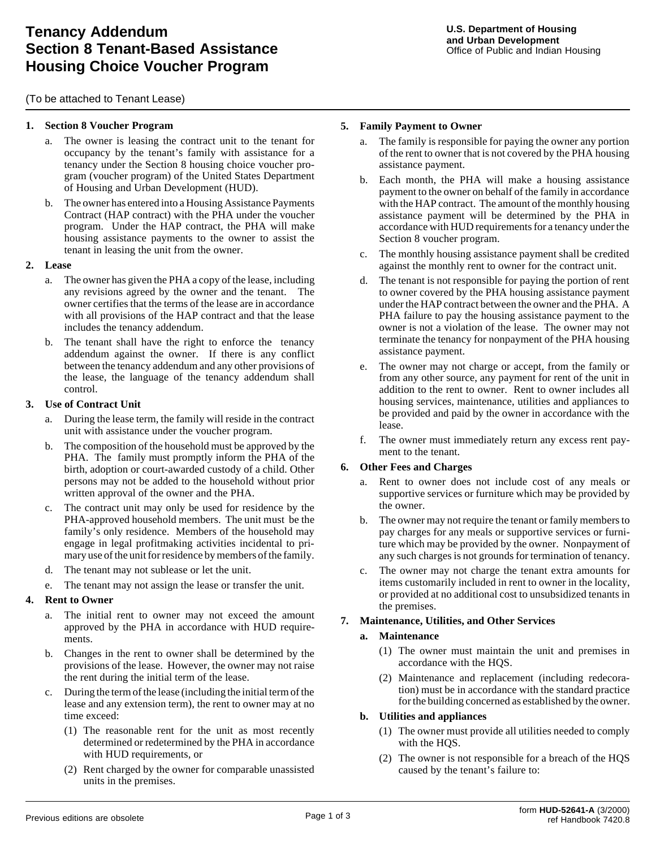# **Tenancy Addendum Section 8 Tenant-Based Assistance Housing Choice Voucher Program**

(To be attached to Tenant Lease)

#### **1. Section 8 Voucher Program**

- a. The owner is leasing the contract unit to the tenant for occupancy by the tenant's family with assistance for a tenancy under the Section 8 housing choice voucher program (voucher program) of the United States Department of Housing and Urban Development (HUD).
- b. The owner has entered into a Housing Assistance Payments Contract (HAP contract) with the PHA under the voucher program. Under the HAP contract, the PHA will make housing assistance payments to the owner to assist the tenant in leasing the unit from the owner.

#### **2. Lease**

- a. The owner has given the PHA a copy of the lease, including any revisions agreed by the owner and the tenant. The owner certifies that the terms of the lease are in accordance with all provisions of the HAP contract and that the lease includes the tenancy addendum.
- b. The tenant shall have the right to enforce the tenancy addendum against the owner. If there is any conflict between the tenancy addendum and any other provisions of the lease, the language of the tenancy addendum shall control.

#### **3. Use of Contract Unit**

- a. During the lease term, the family will reside in the contract unit with assistance under the voucher program.
- b. The composition of the household must be approved by the PHA. The family must promptly inform the PHA of the birth, adoption or court-awarded custody of a child. Other persons may not be added to the household without prior written approval of the owner and the PHA.
- c. The contract unit may only be used for residence by the PHA-approved household members. The unit must be the family's only residence. Members of the household may engage in legal profitmaking activities incidental to primary use of the unit for residence by members of the family.
- d. The tenant may not sublease or let the unit.
- e. The tenant may not assign the lease or transfer the unit.

#### **4. Rent to Owner**

- a. The initial rent to owner may not exceed the amount approved by the PHA in accordance with HUD requirements.
- b. Changes in the rent to owner shall be determined by the provisions of the lease. However, the owner may not raise the rent during the initial term of the lease.
- c. During the term of the lease (including the initial term of the lease and any extension term), the rent to owner may at no time exceed:
	- (1) The reasonable rent for the unit as most recently determined or redetermined by the PHA in accordance with HUD requirements, or
	- (2) Rent charged by the owner for comparable unassisted units in the premises.

#### **5. Family Payment to Owner**

- a. The family is responsible for paying the owner any portion of the rent to owner that is not covered by the PHA housing assistance payment.
- b. Each month, the PHA will make a housing assistance payment to the owner on behalf of the family in accordance with the HAP contract. The amount of the monthly housing assistance payment will be determined by the PHA in accordance with HUD requirements for a tenancy under the Section 8 voucher program.
- c. The monthly housing assistance payment shall be credited against the monthly rent to owner for the contract unit.
- d. The tenant is not responsible for paying the portion of rent to owner covered by the PHA housing assistance payment under the HAP contract between the owner and the PHA. A PHA failure to pay the housing assistance payment to the owner is not a violation of the lease. The owner may not terminate the tenancy for nonpayment of the PHA housing assistance payment.
- e. The owner may not charge or accept, from the family or from any other source, any payment for rent of the unit in addition to the rent to owner. Rent to owner includes all housing services, maintenance, utilities and appliances to be provided and paid by the owner in accordance with the lease.
- f. The owner must immediately return any excess rent payment to the tenant.

#### **6. Other Fees and Charges**

- a. Rent to owner does not include cost of any meals or supportive services or furniture which may be provided by the owner.
- b. The owner may not require the tenant or family members to pay charges for any meals or supportive services or furniture which may be provided by the owner. Nonpayment of any such charges is not grounds for termination of tenancy.
- c. The owner may not charge the tenant extra amounts for items customarily included in rent to owner in the locality, or provided at no additional cost to unsubsidized tenants in the premises.

#### **7. Maintenance, Utilities, and Other Services**

#### **a. Maintenance**

- (1) The owner must maintain the unit and premises in accordance with the HQS.
- (2) Maintenance and replacement (including redecoration) must be in accordance with the standard practice for the building concerned as established by the owner.

#### **b. Utilities and appliances**

- (1) The owner must provide all utilities needed to comply with the HQS.
- (2) The owner is not responsible for a breach of the HQS caused by the tenant's failure to: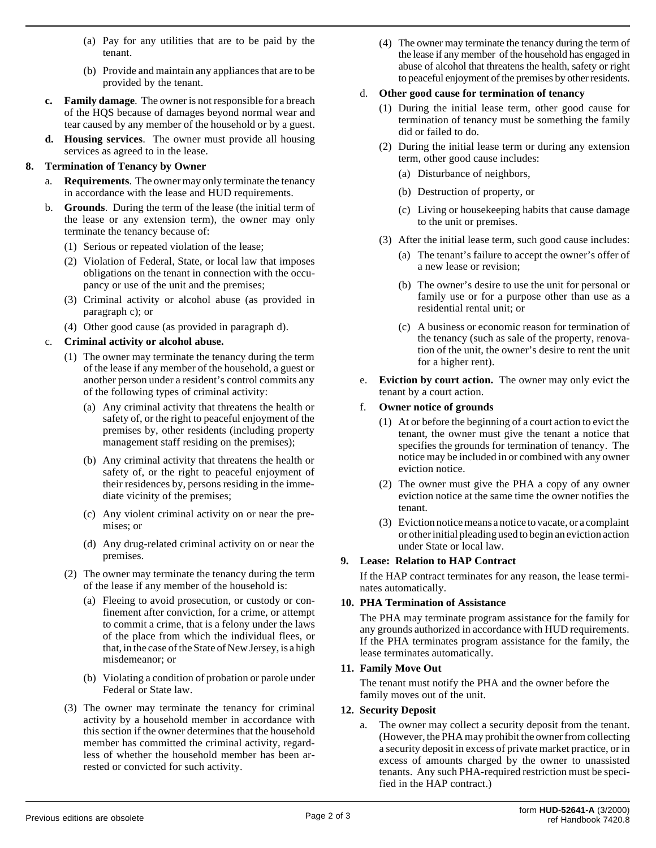- (a) Pay for any utilities that are to be paid by the tenant.
- (b) Provide and maintain any appliances that are to be provided by the tenant.
- **c. Family damage**. The owner is not responsible for a breach of the HQS because of damages beyond normal wear and tear caused by any member of the household or by a guest.
- **d. Housing services**. The owner must provide all housing services as agreed to in the lease.

## **8. Termination of Tenancy by Owner**

- a. **Requirements**. The owner may only terminate the tenancy in accordance with the lease and HUD requirements.
- b. **Grounds**. During the term of the lease (the initial term of the lease or any extension term), the owner may only terminate the tenancy because of:
	- (1) Serious or repeated violation of the lease;
	- (2) Violation of Federal, State, or local law that imposes obligations on the tenant in connection with the occupancy or use of the unit and the premises;
	- (3) Criminal activity or alcohol abuse (as provided in paragraph c); or
	- (4) Other good cause (as provided in paragraph d).

# c. **Criminal activity or alcohol abuse.**

- (1) The owner may terminate the tenancy during the term of the lease if any member of the household, a guest or another person under a resident's control commits any of the following types of criminal activity:
	- (a) Any criminal activity that threatens the health or safety of, or the right to peaceful enjoyment of the premises by, other residents (including property management staff residing on the premises);
	- (b) Any criminal activity that threatens the health or safety of, or the right to peaceful enjoyment of their residences by, persons residing in the immediate vicinity of the premises;
	- (c) Any violent criminal activity on or near the premises; or
	- (d) Any drug-related criminal activity on or near the premises.
- (2) The owner may terminate the tenancy during the term of the lease if any member of the household is:
	- (a) Fleeing to avoid prosecution, or custody or confinement after conviction, for a crime, or attempt to commit a crime, that is a felony under the laws of the place from which the individual flees, or that, in the case of the State of New Jersey, is a high misdemeanor; or
	- (b) Violating a condition of probation or parole under Federal or State law.
- (3) The owner may terminate the tenancy for criminal activity by a household member in accordance with this section if the owner determines that the household member has committed the criminal activity, regardless of whether the household member has been arrested or convicted for such activity.

(4) The owner may terminate the tenancy during the term of the lease if any member of the household has engaged in abuse of alcohol that threatens the health, safety or right to peaceful enjoyment of the premises by other residents.

## d. **Other good cause for termination of tenancy**

- (1) During the initial lease term, other good cause for termination of tenancy must be something the family did or failed to do.
- (2) During the initial lease term or during any extension term, other good cause includes:
	- (a) Disturbance of neighbors,
	- (b) Destruction of property, or
	- (c) Living or housekeeping habits that cause damage to the unit or premises.
- (3) After the initial lease term, such good cause includes:
	- (a) The tenant's failure to accept the owner's offer of a new lease or revision;
	- (b) The owner's desire to use the unit for personal or family use or for a purpose other than use as a residential rental unit; or
	- (c) A business or economic reason for termination of the tenancy (such as sale of the property, renovation of the unit, the owner's desire to rent the unit for a higher rent).
- e. **Eviction by court action.** The owner may only evict the tenant by a court action.
- f. **Owner notice of grounds**
	- (1) At or before the beginning of a court action to evict the tenant, the owner must give the tenant a notice that specifies the grounds for termination of tenancy. The notice may be included in or combined with any owner eviction notice.
	- (2) The owner must give the PHA a copy of any owner eviction notice at the same time the owner notifies the tenant.
	- (3) Eviction notice means a notice to vacate, or a complaint or other initial pleading used to begin an eviction action under State or local law.

# **9. Lease: Relation to HAP Contract**

If the HAP contract terminates for any reason, the lease terminates automatically.

#### **10. PHA Termination of Assistance**

The PHA may terminate program assistance for the family for any grounds authorized in accordance with HUD requirements. If the PHA terminates program assistance for the family, the lease terminates automatically.

#### **11. Family Move Out**

The tenant must notify the PHA and the owner before the family moves out of the unit.

#### **12. Security Deposit**

a. The owner may collect a security deposit from the tenant. (However, the PHA may prohibit the owner from collecting a security deposit in excess of private market practice, or in excess of amounts charged by the owner to unassisted tenants. Any such PHA-required restriction must be specified in the HAP contract.)